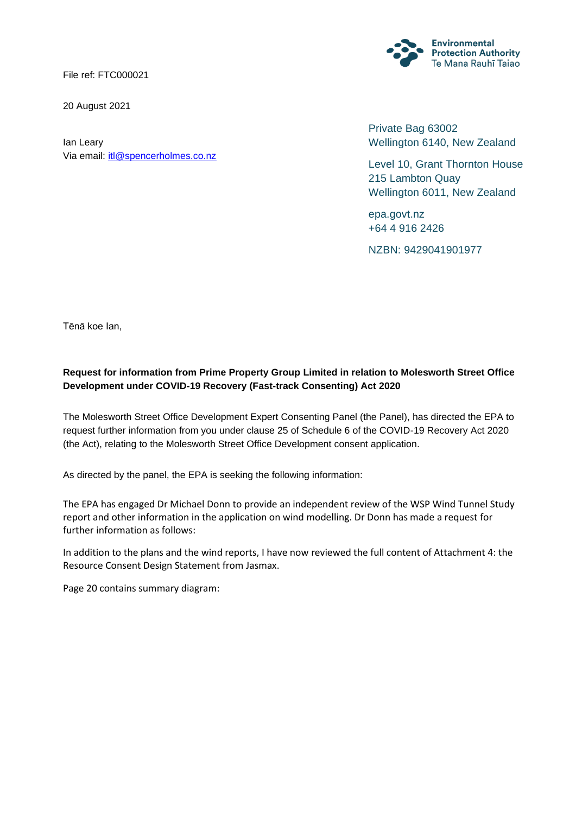File ref: FTC000021

20 August 2021

Ian Leary Via email: [itl@spencerholmes.co.nz](mailto:itl@spencerholmes.co.nz)

**Environmental Protection Authority<br>Te Mana Rauhī Taiao** 

Private Bag 63002 Wellington 6140, New Zealand

Level 10, Grant Thornton House 215 Lambton Quay Wellington 6011, New Zealand

epa.govt.nz +64 4 916 2426

NZBN: 9429041901977

Tēnā koe Ian,

## **Request for information from Prime Property Group Limited in relation to Molesworth Street Office Development under COVID-19 Recovery (Fast-track Consenting) Act 2020**

The Molesworth Street Office Development Expert Consenting Panel (the Panel), has directed the EPA to request further information from you under clause 25 of Schedule 6 of the COVID-19 Recovery Act 2020 (the Act), relating to the Molesworth Street Office Development consent application.

As directed by the panel, the EPA is seeking the following information:

The EPA has engaged Dr Michael Donn to provide an independent review of the WSP Wind Tunnel Study report and other information in the application on wind modelling. Dr Donn has made a request for further information as follows:

In addition to the plans and the wind reports, I have now reviewed the full content of Attachment 4: the Resource Consent Design Statement from Jasmax.

Page 20 contains summary diagram: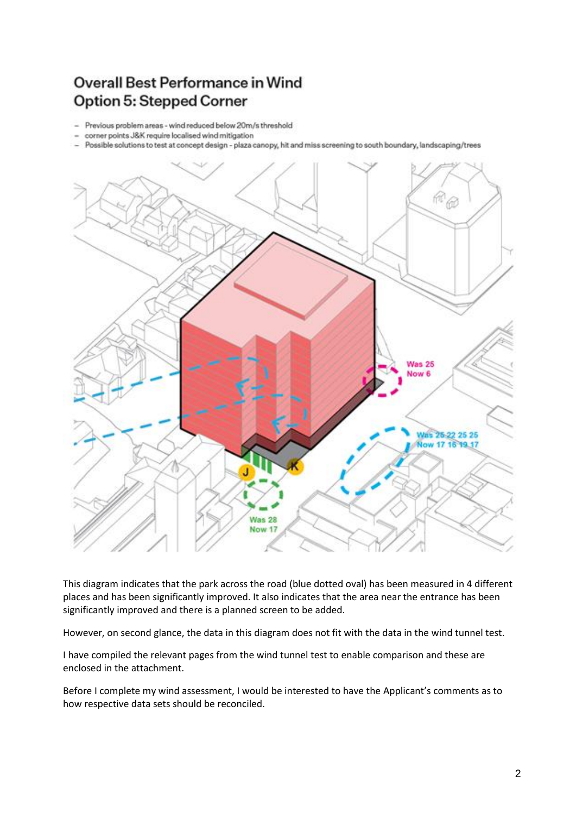## Overall Best Performance in Wind Option 5: Stepped Corner

- Previous problem areas wind reduced below 20m/s threshold
- corner points J&K require localised wind mitigation
- Possible solutions to test at concept design plaza canopy, hit and miss screening to south boundary, landscaping/trees



This diagram indicates that the park across the road (blue dotted oval) has been measured in 4 different places and has been significantly improved. It also indicates that the area near the entrance has been significantly improved and there is a planned screen to be added.

However, on second glance, the data in this diagram does not fit with the data in the wind tunnel test.

I have compiled the relevant pages from the wind tunnel test to enable comparison and these are enclosed in the attachment.

Before I complete my wind assessment, I would be interested to have the Applicant's comments as to how respective data sets should be reconciled.